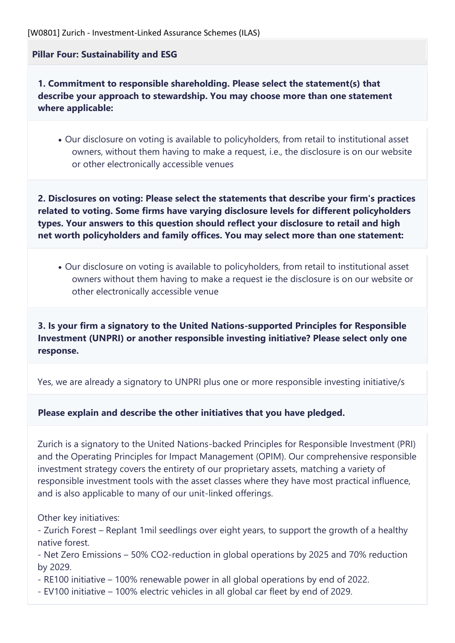**Pillar Four: Sustainability and ESG**

**1. Commitment to responsible shareholding. Please select the statement(s) that describe your approach to stewardship. You may choose more than one statement where applicable:**

• Our disclosure on voting is available to policyholders, from retail to institutional asset owners, without them having to make a request, i.e., the disclosure is on our website or other electronically accessible venues

**2. Disclosures on voting: Please select the statements that describe your firm's practices related to voting. Some firms have varying disclosure levels for different policyholders types. Your answers to this question should reflect your disclosure to retail and high net worth policyholders and family offices. You may select more than one statement:**

• Our disclosure on voting is available to policyholders, from retail to institutional asset owners without them having to make a request ie the disclosure is on our website or other electronically accessible venue

**3. Is your firm a signatory to the United Nations-supported Principles for Responsible Investment (UNPRI) or another responsible investing initiative? Please select only one response.**

Yes, we are already a signatory to UNPRI plus one or more responsible investing initiative/s

**Please explain and describe the other initiatives that you have pledged.**

Zurich is a signatory to the United Nations-backed Principles for Responsible Investment (PRI) and the Operating Principles for Impact Management (OPIM). Our comprehensive responsible investment strategy covers the entirety of our proprietary assets, matching a variety of responsible investment tools with the asset classes where they have most practical influence, and is also applicable to many of our unit-linked offerings.

Other key initiatives:

- Zurich Forest – Replant 1mil seedlings over eight years, to support the growth of a healthy native forest.

- Net Zero Emissions – 50% CO2-reduction in global operations by 2025 and 70% reduction by 2029.  

- RE100 initiative – 100% renewable power in all global operations by end of 2022.

- EV100 initiative – 100% electric vehicles in all global car fleet by end of 2029.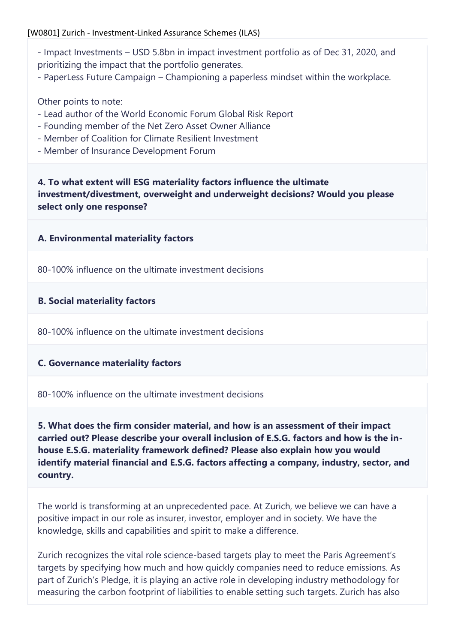- Impact Investments USD 5.8bn in impact investment portfolio as of Dec 31, 2020, and prioritizing the impact that the portfolio generates.
- PaperLess Future Campaign Championing a paperless mindset within the workplace.

Other points to note:

- Lead author of the World Economic Forum Global Risk Report
- Founding member of the Net Zero Asset Owner Alliance
- Member of Coalition for Climate Resilient Investment
- Member of Insurance Development Forum

**4. To what extent will ESG materiality factors influence the ultimate investment/divestment, overweight and underweight decisions? Would you please select only one response?**

# **A. Environmental materiality factors**

80-100% influence on the ultimate investment decisions

## **B. Social materiality factors**

80-100% influence on the ultimate investment decisions

# **C. Governance materiality factors**

80-100% influence on the ultimate investment decisions

**5. What does the firm consider material, and how is an assessment of their impact carried out? Please describe your overall inclusion of E.S.G. factors and how is the inhouse E.S.G. materiality framework defined? Please also explain how you would identify material financial and E.S.G. factors affecting a company, industry, sector, and country.**

The world is transforming at an unprecedented pace. At Zurich, we believe we can have a positive impact in our role as insurer, investor, employer and in society. We have the knowledge, skills and capabilities and spirit to make a difference.

Zurich recognizes the vital role science-based targets play to meet the Paris Agreement's targets by specifying how much and how quickly companies need to reduce emissions. As part of Zurich's Pledge, it is playing an active role in developing industry methodology for measuring the carbon footprint of liabilities to enable setting such targets. Zurich has also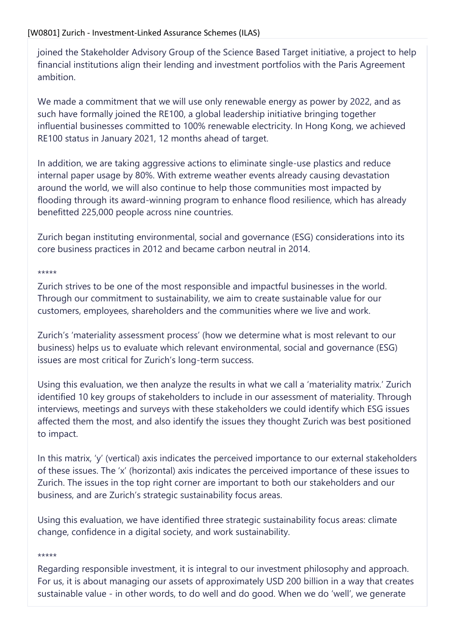joined the Stakeholder Advisory Group of the Science Based Target initiative, a project to help financial institutions align their lending and investment portfolios with the Paris Agreement ambition.

We made a commitment that we will use only renewable energy as power by 2022, and as such have formally joined the RE100, a global leadership initiative bringing together influential businesses committed to 100% renewable electricity. In Hong Kong, we achieved RE100 status in January 2021, 12 months ahead of target.

In addition, we are taking aggressive actions to eliminate single-use plastics and reduce internal paper usage by 80%. With extreme weather events already causing devastation around the world, we will also continue to help those communities most impacted by flooding through its award-winning program to enhance flood resilience, which has already benefitted 225,000 people across nine countries.

Zurich began instituting environmental, social and governance (ESG) considerations into its core business practices in 2012 and became carbon neutral in 2014.

#### \*\*\*\*\*

Zurich strives to be one of the most responsible and impactful businesses in the world. Through our commitment to sustainability, we aim to create sustainable value for our customers, employees, shareholders and the communities where we live and work.

Zurich's 'materiality assessment process' (how we determine what is most relevant to our business) helps us to evaluate which relevant environmental, social and governance (ESG) issues are most critical for Zurich's long-term success.

Using this evaluation, we then analyze the results in what we call a 'materiality matrix.' Zurich identified 10 key groups of stakeholders to include in our assessment of materiality. Through interviews, meetings and surveys with these stakeholders we could identify which ESG issues affected them the most, and also identify the issues they thought Zurich was best positioned to impact.

In this matrix, 'y' (vertical) axis indicates the perceived importance to our external stakeholders of these issues. The 'x' (horizontal) axis indicates the perceived importance of these issues to Zurich. The issues in the top right corner are important to both our stakeholders and our business, and are Zurich's strategic sustainability focus areas.

Using this evaluation, we have identified three strategic sustainability focus areas: climate change, confidence in a digital society, and work sustainability.

#### \*\*\*\*\*

Regarding responsible investment, it is integral to our investment philosophy and approach. For us, it is about managing our assets of approximately USD 200 billion in a way that creates sustainable value - in other words, to do well and do good. When we do 'well', we generate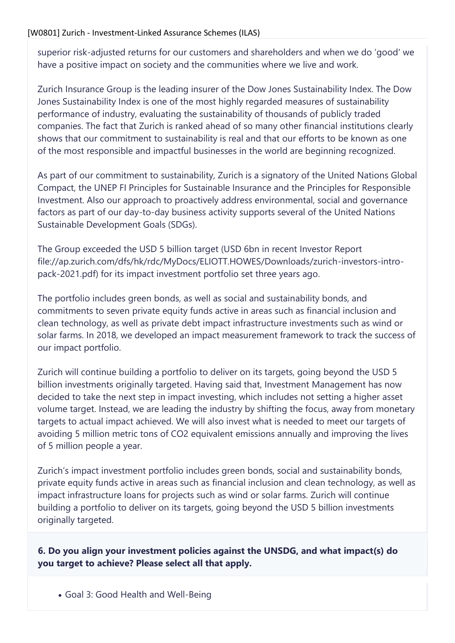superior risk-adjusted returns for our customers and shareholders and when we do 'good' we have a positive impact on society and the communities where we live and work.

Zurich Insurance Group is the leading insurer of the Dow Jones Sustainability Index. The Dow Jones Sustainability Index is one of the most highly regarded measures of sustainability performance of industry, evaluating the sustainability of thousands of publicly traded companies. The fact that Zurich is ranked ahead of so many other financial institutions clearly shows that our commitment to sustainability is real and that our efforts to be known as one of the most responsible and impactful businesses in the world are beginning recognized.

As part of our commitment to sustainability, Zurich is a signatory of the United Nations Global Compact, the UNEP FI Principles for Sustainable Insurance and the Principles for Responsible Investment. Also our approach to proactively address environmental, social and governance factors as part of our day-to-day business activity supports several of the United Nations Sustainable Development Goals (SDGs).

The Group exceeded the USD 5 billion target (USD 6bn in recent Investor Report file://ap.zurich.com/dfs/hk/rdc/MyDocs/ELIOTT.HOWES/Downloads/zurich-investors-intropack-2021.pdf) for its impact investment portfolio set three years ago.

The portfolio includes green bonds, as well as social and sustainability bonds, and commitments to seven private equity funds active in areas such as financial inclusion and clean technology, as well as private debt impact infrastructure investments such as wind or solar farms. In 2018, we developed an impact measurement framework to track the success of our impact portfolio.

Zurich will continue building a portfolio to deliver on its targets, going beyond the USD 5 billion investments originally targeted. Having said that, Investment Management has now decided to take the next step in impact investing, which includes not setting a higher asset volume target. Instead, we are leading the industry by shifting the focus, away from monetary targets to actual impact achieved. We will also invest what is needed to meet our targets of avoiding 5 million metric tons of CO2 equivalent emissions annually and improving the lives of 5 million people a year.

Zurich's impact investment portfolio includes green bonds, social and sustainability bonds, private equity funds active in areas such as financial inclusion and clean technology, as well as impact infrastructure loans for projects such as wind or solar farms. Zurich will continue building a portfolio to deliver on its targets, going beyond the USD 5 billion investments originally targeted.

**6. Do you align your investment policies against the UNSDG, and what impact(s) do you target to achieve? Please select all that apply.**

• Goal 3: Good Health and Well-Being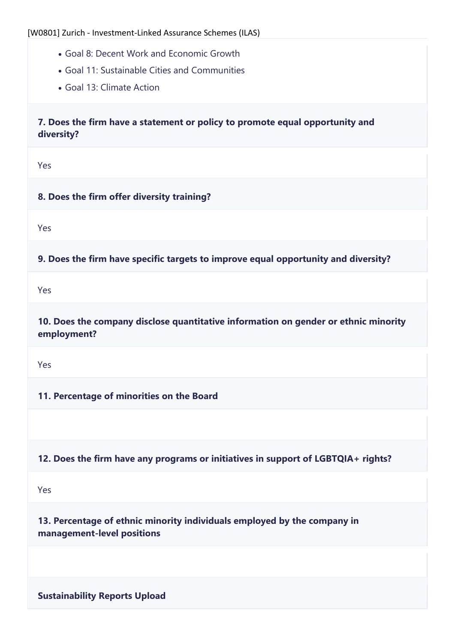- Goal 8: Decent Work and Economic Growth
- Goal 11: Sustainable Cities and Communities
- Goal 13: Climate Action

**7. Does the firm have a statement or policy to promote equal opportunity and diversity?**

Yes

## **8. Does the firm offer diversity training?**

Yes

**9. Does the firm have specific targets to improve equal opportunity and diversity?**

Yes

**10. Does the company disclose quantitative information on gender or ethnic minority employment?**

Yes

**11. Percentage of minorities on the Board**

## **12. Does the firm have any programs or initiatives in support of LGBTQIA+ rights?**

Yes

**13. Percentage of ethnic minority individuals employed by the company in management-level positions**

**Sustainability Reports Upload**